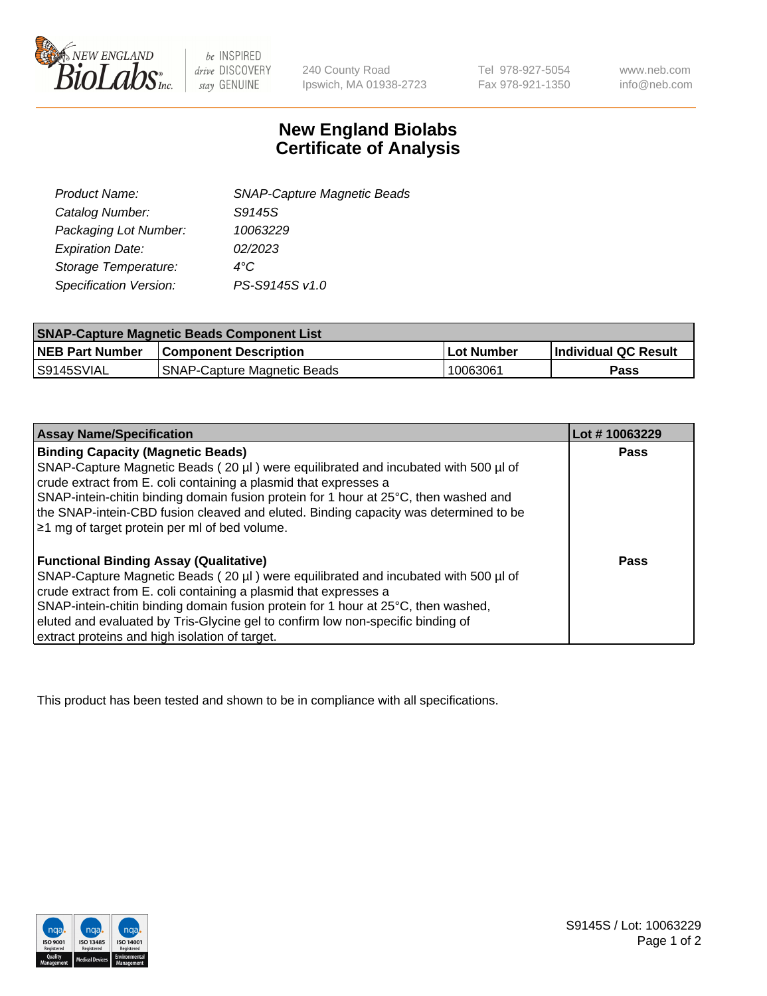

 $be$  INSPIRED drive DISCOVERY stay GENUINE

240 County Road Ipswich, MA 01938-2723

Tel 978-927-5054 Fax 978-921-1350 www.neb.com info@neb.com

## **New England Biolabs Certificate of Analysis**

| <b>SNAP-Capture Magnetic Beads</b> |
|------------------------------------|
| S9145S                             |
| 10063229                           |
| 02/2023                            |
| 4°C                                |
| PS-S9145S v1.0                     |
|                                    |

| <b>SNAP-Capture Magnetic Beads Component List</b> |                                    |            |                      |  |
|---------------------------------------------------|------------------------------------|------------|----------------------|--|
| <b>NEB Part Number</b>                            | <b>Component Description</b>       | Lot Number | Individual QC Result |  |
| IS9145SVIAL                                       | <b>SNAP-Capture Magnetic Beads</b> | 10063061   | Pass                 |  |

| <b>Assay Name/Specification</b>                                                              | Lot #10063229 |
|----------------------------------------------------------------------------------------------|---------------|
| <b>Binding Capacity (Magnetic Beads)</b>                                                     | Pass          |
| SNAP-Capture Magnetic Beads ( $20 \mu$ ) were equilibrated and incubated with 500 $\mu$ l of |               |
| crude extract from E. coli containing a plasmid that expresses a                             |               |
| SNAP-intein-chitin binding domain fusion protein for 1 hour at 25°C, then washed and         |               |
| the SNAP-intein-CBD fusion cleaved and eluted. Binding capacity was determined to be         |               |
| $\geq$ 1 mg of target protein per ml of bed volume.                                          |               |
|                                                                                              |               |
| <b>Functional Binding Assay (Qualitative)</b>                                                | Pass          |
| SNAP-Capture Magnetic Beads (20 µl) were equilibrated and incubated with 500 µl of           |               |
| crude extract from E. coli containing a plasmid that expresses a                             |               |
| SNAP-intein-chitin binding domain fusion protein for 1 hour at 25°C, then washed,            |               |
| eluted and evaluated by Tris-Glycine gel to confirm low non-specific binding of              |               |
| extract proteins and high isolation of target.                                               |               |

This product has been tested and shown to be in compliance with all specifications.